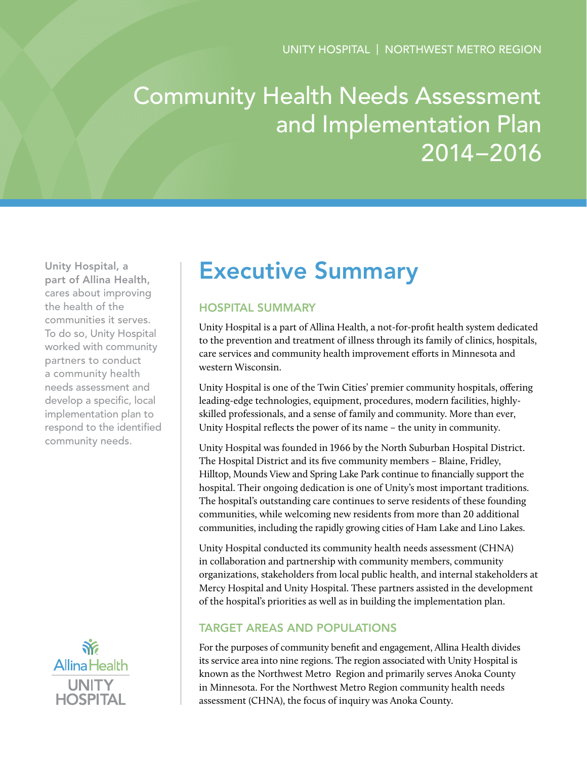# Community Health Needs Assessment and Implementation Plan 2014–2016

Unity Hospital, a part of Allina Health, cares about improving the health of the communities it serves. To do so, Unity Hospital worked with community partners to conduct a community health needs assessment and develop a specific, local implementation plan to respond to the identified community needs.



## Executive Summary

## Hospital Summary

Unity Hospital is a part of Allina Health, a not-for-profit health system dedicated to the prevention and treatment of illness through its family of clinics, hospitals, care services and community health improvement efforts in Minnesota and western Wisconsin.

Unity Hospital is one of the Twin Cities' premier community hospitals, offering leading-edge technologies, equipment, procedures, modern facilities, highlyskilled professionals, and a sense of family and community. More than ever, Unity Hospital reflects the power of its name – the unity in community.

Unity Hospital was founded in 1966 by the North Suburban Hospital District. The Hospital District and its five community members – Blaine, Fridley, Hilltop, Mounds View and Spring Lake Park continue to financially support the hospital. Their ongoing dedication is one of Unity's most important traditions. The hospital's outstanding care continues to serve residents of these founding communities, while welcoming new residents from more than 20 additional communities, including the rapidly growing cities of Ham Lake and Lino Lakes.

Unity Hospital conducted its community health needs assessment (CHNA) in collaboration and partnership with community members, community organizations, stakeholders from local public health, and internal stakeholders at Mercy Hospital and Unity Hospital. These partners assisted in the development of the hospital's priorities as well as in building the implementation plan.

## Target Areas and Populations

For the purposes of community benefit and engagement, Allina Health divides its service area into nine regions. The region associated with Unity Hospital is known as the Northwest Metro Region and primarily serves Anoka County in Minnesota. For the Northwest Metro Region community health needs assessment (CHNA), the focus of inquiry was Anoka County.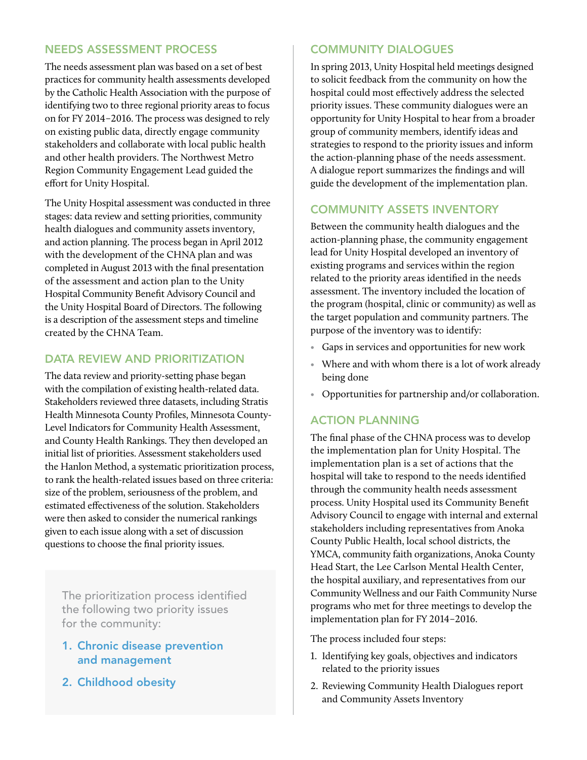#### Needs Assessment Process

The needs assessment plan was based on a set of best practices for community health assessments developed by the Catholic Health Association with the purpose of identifying two to three regional priority areas to focus on for FY 2014–2016. The process was designed to rely on existing public data, directly engage community stakeholders and collaborate with local public health and other health providers. The Northwest Metro Region Community Engagement Lead guided the effort for Unity Hospital.

The Unity Hospital assessment was conducted in three stages: data review and setting priorities, community health dialogues and community assets inventory, and action planning. The process began in April 2012 with the development of the CHNA plan and was completed in August 2013 with the final presentation of the assessment and action plan to the Unity Hospital Community Benefit Advisory Council and the Unity Hospital Board of Directors. The following is a description of the assessment steps and timeline created by the CHNA Team.

## DATA REVIEW AND PRIORITIZATION

The data review and priority-setting phase began with the compilation of existing health-related data. Stakeholders reviewed three datasets, including Stratis Health Minnesota County Profiles, Minnesota County-Level Indicators for Community Health Assessment, and County Health Rankings. They then developed an initial list of priorities. Assessment stakeholders used the Hanlon Method, a systematic prioritization process, to rank the health-related issues based on three criteria: size of the problem, seriousness of the problem, and estimated effectiveness of the solution. Stakeholders were then asked to consider the numerical rankings given to each issue along with a set of discussion questions to choose the final priority issues.

The prioritization process identified the following two priority issues for the community:

- 1. Chronic disease prevention and management
- 2. Childhood obesity

## Community Dialogues

In spring 2013, Unity Hospital held meetings designed to solicit feedback from the community on how the hospital could most effectively address the selected priority issues. These community dialogues were an opportunity for Unity Hospital to hear from a broader group of community members, identify ideas and strategies to respond to the priority issues and inform the action-planning phase of the needs assessment. A dialogue report summarizes the findings and will guide the development of the implementation plan.

## Community Assets Inventory

Between the community health dialogues and the action-planning phase, the community engagement lead for Unity Hospital developed an inventory of existing programs and services within the region related to the priority areas identified in the needs assessment. The inventory included the location of the program (hospital, clinic or community) as well as the target population and community partners. The purpose of the inventory was to identify:

- Gaps in services and opportunities for new work
- Where and with whom there is a lot of work already being done
- Opportunities for partnership and/or collaboration.

## Action Planning

The final phase of the CHNA process was to develop the implementation plan for Unity Hospital. The implementation plan is a set of actions that the hospital will take to respond to the needs identified through the community health needs assessment process. Unity Hospital used its Community Benefit Advisory Council to engage with internal and external stakeholders including representatives from Anoka County Public Health, local school districts, the YMCA, community faith organizations, Anoka County Head Start, the Lee Carlson Mental Health Center, the hospital auxiliary, and representatives from our Community Wellness and our Faith Community Nurse programs who met for three meetings to develop the implementation plan for FY 2014–2016.

The process included four steps:

- 1. Identifying key goals, objectives and indicators related to the priority issues
- 2. Reviewing Community Health Dialogues report and Community Assets Inventory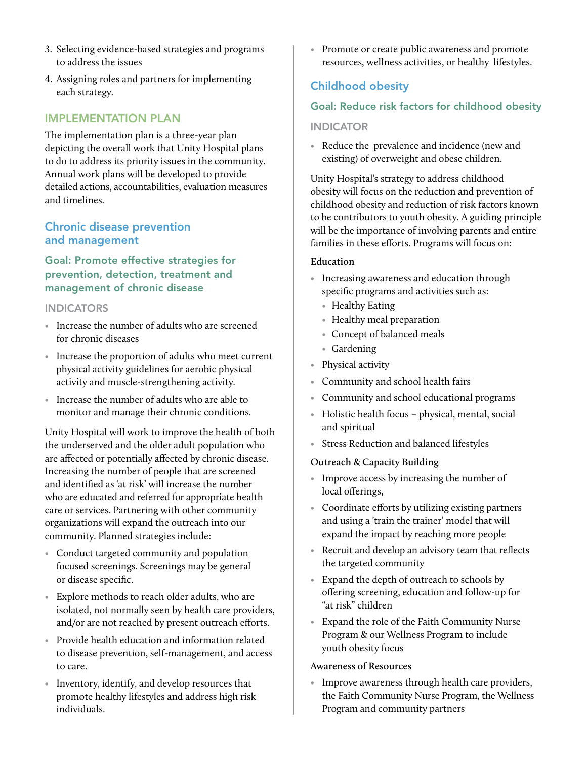- 3. Selecting evidence-based strategies and programs to address the issues
- 4. Assigning roles and partners for implementing each strategy.

## Implementation Plan

The implementation plan is a three-year plan depicting the overall work that Unity Hospital plans to do to address its priority issues in the community. Annual work plans will be developed to provide detailed actions, accountabilities, evaluation measures and timelines.

#### Chronic disease prevention and management

Goal: Promote effective strategies for prevention, detection, treatment and management of chronic disease

#### **INDICATORS**

- Increase the number of adults who are screened for chronic diseases
- Increase the proportion of adults who meet current physical activity guidelines for aerobic physical activity and muscle-strengthening activity.
- Increase the number of adults who are able to monitor and manage their chronic conditions.

Unity Hospital will work to improve the health of both the underserved and the older adult population who are affected or potentially affected by chronic disease. Increasing the number of people that are screened and identified as 'at risk' will increase the number who are educated and referred for appropriate health care or services. Partnering with other community organizations will expand the outreach into our community. Planned strategies include:

- Conduct targeted community and population focused screenings. Screenings may be general or disease specific.
- Explore methods to reach older adults, who are isolated, not normally seen by health care providers, and/or are not reached by present outreach efforts.
- Provide health education and information related to disease prevention, self-management, and access to care.
- Inventory, identify, and develop resources that promote healthy lifestyles and address high risk individuals.

• Promote or create public awareness and promote resources, wellness activities, or healthy lifestyles.

## Childhood obesity

#### Goal: Reduce risk factors for childhood obesity

#### **INDICATOR**

• Reduce the prevalence and incidence (new and existing) of overweight and obese children.

Unity Hospital's strategy to address childhood obesity will focus on the reduction and prevention of childhood obesity and reduction of risk factors known to be contributors to youth obesity. A guiding principle will be the importance of involving parents and entire families in these efforts. Programs will focus on:

#### **Education**

- Increasing awareness and education through specific programs and activities such as:
	- Healthy Eating
	- Healthy meal preparation
	- Concept of balanced meals
	- Gardening
- Physical activity
- Community and school health fairs
- Community and school educational programs
- Holistic health focus physical, mental, social and spiritual
- Stress Reduction and balanced lifestyles

#### **Outreach & Capacity Building**

- Improve access by increasing the number of local offerings,
- Coordinate efforts by utilizing existing partners and using a 'train the trainer' model that will expand the impact by reaching more people
- Recruit and develop an advisory team that reflects the targeted community
- Expand the depth of outreach to schools by offering screening, education and follow-up for "at risk" children
- Expand the role of the Faith Community Nurse Program & our Wellness Program to include youth obesity focus

#### **Awareness of Resources**

• Improve awareness through health care providers, the Faith Community Nurse Program, the Wellness Program and community partners